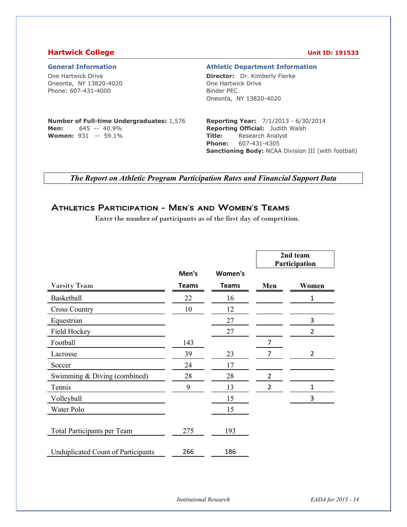### **Hartwick College Unit ID: 191533**

One Hartwick Drive Oneonta, NY 13820-4020 Phone: 607-431-4000

### **General Information Athletic Department Information**

**Director:** Dr. Kimberly Fierke One Hartwick Drive Binder PEC Oneonta, NY 13820-4020

### **Number of Full-time Undergraduates:** 1,576 **Men:** 645 -- 40.9% **Women:** 931 -- 59.1%

**Reporting Year:** 7/1/2013 - 6/30/2014 **Reporting Official:** Judith Walsh **Title:** Research Analyst **Phone:** 607-431-4305 **Sanctioning Body:** NCAA Division III (with football)

*The Report on Athletic Program Participation Rates and Financial Support Data* 

## Athletics Participation - Men's and Women's Teams

Enter the number of participants as of the first day of competition.

|                                           |              |              |                | 2nd team<br>Participation |
|-------------------------------------------|--------------|--------------|----------------|---------------------------|
|                                           | Men's        | Women's      |                |                           |
| Varsity Team                              | <b>Teams</b> | <b>Teams</b> | Men            | Women                     |
| Basketball                                | 22           | 16           |                | 1                         |
| <b>Cross Country</b>                      | 10           | 12           |                |                           |
| Equestrian                                |              | 27           |                | 3                         |
| Field Hockey                              |              | 27           |                | $\overline{2}$            |
| Football                                  | 143          |              | 7              |                           |
| Lacrosse                                  | 39           | 23           | $\overline{7}$ | $\overline{2}$            |
| Soccer                                    | 24           | 17           |                |                           |
| Swimming & Diving (combined)              | 28           | 28           | $\overline{2}$ |                           |
| Tennis                                    | 9            | 13           | 2              | 1                         |
| Volleyball                                |              | 15           |                | 3                         |
| Water Polo                                |              | 15           |                |                           |
| Total Participants per Team               | 275          | 193          |                |                           |
| <b>Unduplicated Count of Participants</b> | 266          | 186          |                |                           |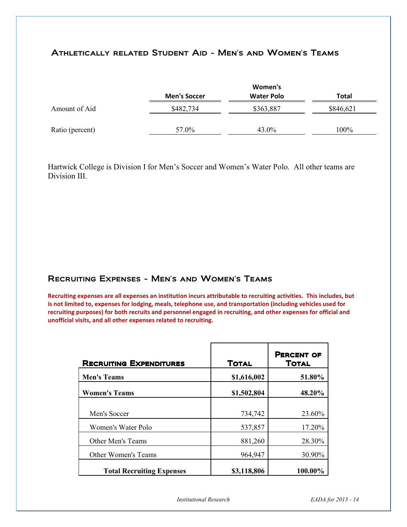## Athletically related Student Aid - Men's and Women's Teams

|                 |                     | Women's           |           |
|-----------------|---------------------|-------------------|-----------|
|                 | <b>Men's Soccer</b> | <b>Water Polo</b> | Total     |
| Amount of Aid   | \$482,734           | \$363,887         | \$846,621 |
| Ratio (percent) | 57.0%               | 43.0%             | 100%      |

Hartwick College is Division I for Men's Soccer and Women's Water Polo. All other teams are Division III.

## Recruiting Expenses - Men's and Women's Teams

**Recruiting expenses are all expenses an institution incurs attributable to recruiting activities. This includes, but is not limited to, expenses for lodging, meals, telephone use, and transportation (including vehicles used for recruiting purposes) for both recruits and personnel engaged in recruiting, and other expenses for official and unofficial visits, and all other expenses related to recruiting.** 

| <b>RECRUITING EXPENDITURES</b>   | <b>TOTAL</b> | <b>PERCENT OF</b><br><b>TOTAL</b> |
|----------------------------------|--------------|-----------------------------------|
| <b>Men's Teams</b>               | \$1,616,002  | 51.80%                            |
| <b>Women's Teams</b>             | \$1,502,804  | 48.20%                            |
| Men's Soccer                     | 734,742      | 23.60%                            |
| Women's Water Polo               | 537,857      | 17.20%                            |
| Other Men's Teams                | 881,260      | 28.30%                            |
| Other Women's Teams              | 964,947      | 30.90%                            |
| <b>Total Recruiting Expenses</b> | \$3,118,806  | 100.00%                           |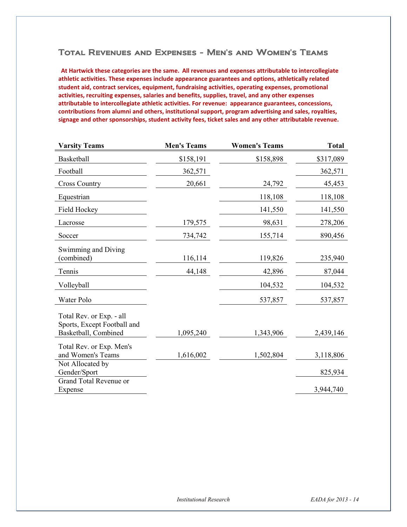## Total Revenues and Expenses - Men's and Women's Teams

**At Hartwick these categories are the same. All revenues and expenses attributable to intercollegiate athletic activities. These expenses include appearance guarantees and options, athletically related student aid, contract services, equipment, fundraising activities, operating expenses, promotional activities, recruiting expenses, salaries and benefits, supplies, travel, and any other expenses attributable to intercollegiate athletic activities. For revenue: appearance guarantees, concessions, contributions from alumni and others, institutional support, program advertising and sales, royalties, signage and other sponsorships, student activity fees, ticket sales and any other attributable revenue.**

| <b>Varsity Teams</b>                                    | <b>Men's Teams</b> | <b>Women's Teams</b> | <b>Total</b> |
|---------------------------------------------------------|--------------------|----------------------|--------------|
| Basketball                                              | \$158,191          | \$158,898            | \$317,089    |
| Football                                                | 362,571            |                      | 362,571      |
| <b>Cross Country</b>                                    | 20,661             | 24,792               | 45,453       |
| Equestrian                                              |                    | 118,108              | 118,108      |
| Field Hockey                                            |                    | 141,550              | 141,550      |
| Lacrosse                                                | 179,575            | 98,631               | 278,206      |
| Soccer                                                  | 734,742            | 155,714              | 890,456      |
| Swimming and Diving<br>(combined)                       | 116,114            | 119,826              | 235,940      |
| Tennis                                                  | 44,148             | 42,896               | 87,044       |
| Volleyball                                              |                    | 104,532              | 104,532      |
| Water Polo                                              |                    | 537,857              | 537,857      |
| Total Rev. or Exp. - all<br>Sports, Except Football and |                    |                      |              |
| Basketball, Combined                                    | 1,095,240          | 1,343,906            | 2,439,146    |
| Total Rev. or Exp. Men's<br>and Women's Teams           | 1,616,002          | 1,502,804            | 3,118,806    |
| Not Allocated by<br>Gender/Sport                        |                    |                      | 825,934      |
| Grand Total Revenue or                                  |                    |                      |              |
| Expense                                                 |                    |                      | 3,944,740    |
|                                                         |                    |                      |              |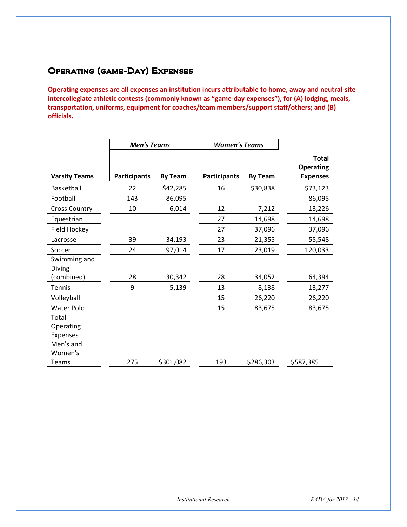# Operating (game-Day) Expenses

**Operating expenses are all expenses an institution incurs attributable to home, away and neutral-site intercollegiate athletic contests (commonly known as "game-day expenses"), for (A) lodging, meals, transportation, uniforms, equipment for coaches/team members/support staff/others; and (B) officials.** 

|                               | <b>Men's Teams</b>  |                |                     | <b>Women's Teams</b> |                                                     |
|-------------------------------|---------------------|----------------|---------------------|----------------------|-----------------------------------------------------|
| <b>Varsity Teams</b>          | <b>Participants</b> | <b>By Team</b> | <b>Participants</b> | <b>By Team</b>       | <b>Total</b><br><b>Operating</b><br><b>Expenses</b> |
| Basketball                    | 22                  | \$42,285       | 16                  | \$30,838             | \$73,123                                            |
| Football                      | 143                 | 86,095         |                     |                      | 86,095                                              |
| <b>Cross Country</b>          | 10                  | 6,014          | 12                  | 7,212                | 13,226                                              |
| Equestrian                    |                     |                | 27                  | 14,698               | 14,698                                              |
| Field Hockey                  |                     |                | 27                  | 37,096               | 37,096                                              |
| Lacrosse                      | 39                  | 34,193         | 23                  | 21,355               | 55,548                                              |
| Soccer                        | 24                  | 97,014         | 17                  | 23,019               | 120,033                                             |
| Swimming and<br><b>Diving</b> |                     |                |                     |                      |                                                     |
| (combined)                    | 28                  | 30,342         | 28                  | 34,052               | 64,394                                              |
| <b>Tennis</b>                 | 9                   | 5,139          | 13                  | 8,138                | 13,277                                              |
| Volleyball                    |                     |                | 15                  | 26,220               | 26,220                                              |
| Water Polo                    |                     |                | 15                  | 83,675               | 83,675                                              |
| Total                         |                     |                |                     |                      |                                                     |
| Operating                     |                     |                |                     |                      |                                                     |
| <b>Expenses</b>               |                     |                |                     |                      |                                                     |
| Men's and                     |                     |                |                     |                      |                                                     |
| Women's                       |                     |                |                     |                      |                                                     |
| <b>Teams</b>                  | 275                 | \$301,082      | 193                 | \$286,303            | \$587,385                                           |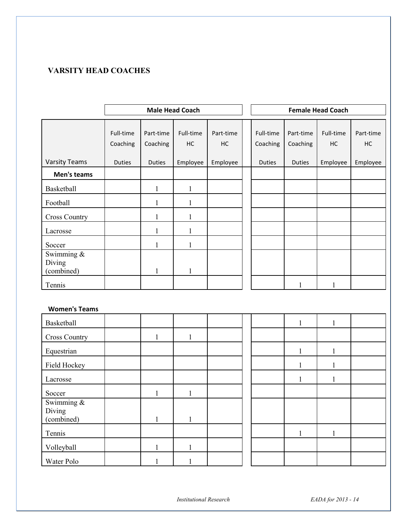## **VARSITY HEAD COACHES**

|                                       | <b>Male Head Coach</b> |                       |                 |                 |  | <b>Female Head Coach</b> |                       |                 |                 |
|---------------------------------------|------------------------|-----------------------|-----------------|-----------------|--|--------------------------|-----------------------|-----------------|-----------------|
|                                       | Full-time<br>Coaching  | Part-time<br>Coaching | Full-time<br>HC | Part-time<br>HC |  | Full-time<br>Coaching    | Part-time<br>Coaching | Full-time<br>HC | Part-time<br>HC |
| <b>Varsity Teams</b>                  | <b>Duties</b>          | <b>Duties</b>         | Employee        | Employee        |  | <b>Duties</b>            | <b>Duties</b>         | Employee        | Employee        |
| Men's teams                           |                        |                       |                 |                 |  |                          |                       |                 |                 |
| Basketball                            |                        |                       |                 |                 |  |                          |                       |                 |                 |
| Football                              |                        |                       |                 |                 |  |                          |                       |                 |                 |
| <b>Cross Country</b>                  |                        | 1                     |                 |                 |  |                          |                       |                 |                 |
| Lacrosse                              |                        |                       |                 |                 |  |                          |                       |                 |                 |
| Soccer                                |                        |                       |                 |                 |  |                          |                       |                 |                 |
| Swimming $\&$<br>Diving<br>(combined) |                        | 1                     |                 |                 |  |                          |                       |                 |                 |
| Tennis                                |                        |                       |                 |                 |  |                          | 1                     |                 |                 |

## **Women's Teams**

| Basketball           |                         |  |  | Ι. |   |  |
|----------------------|-------------------------|--|--|----|---|--|
| <b>Cross Country</b> | 1                       |  |  |    |   |  |
| Equestrian           |                         |  |  |    |   |  |
| Field Hockey         |                         |  |  |    |   |  |
| Lacrosse             |                         |  |  | 1  | 1 |  |
| Soccer               |                         |  |  |    |   |  |
| Swimming &           |                         |  |  |    |   |  |
| Diving<br>(combined) | $\mathbf{1}$<br>$\perp$ |  |  |    |   |  |
| Tennis               |                         |  |  |    |   |  |
| Volleyball           |                         |  |  |    |   |  |
| Water Polo           |                         |  |  |    |   |  |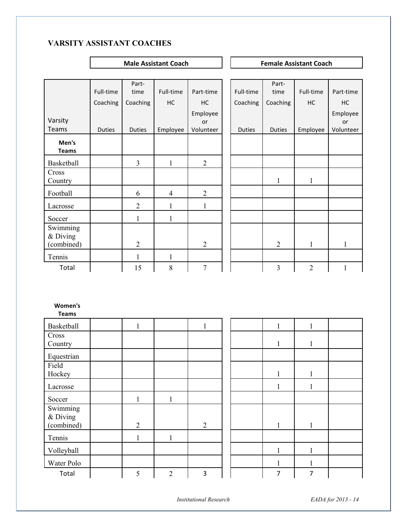## **VARSITY ASSISTANT COACHES**

**Male Assistant Coach Female Assistant Coach Female Assistant Coach** 

|          | Part-                      |                                                               |                                                  |                                                            |          | Part-                      |                                                                                           |                                                                                                         |
|----------|----------------------------|---------------------------------------------------------------|--------------------------------------------------|------------------------------------------------------------|----------|----------------------------|-------------------------------------------------------------------------------------------|---------------------------------------------------------------------------------------------------------|
|          |                            |                                                               |                                                  |                                                            |          |                            |                                                                                           | Part-time                                                                                               |
| Coaching | Coaching                   | HC                                                            | HC                                               |                                                            | Coaching | Coaching                   | HC                                                                                        | HC                                                                                                      |
|          |                            |                                                               | Employee                                         |                                                            |          |                            |                                                                                           | Employee                                                                                                |
|          |                            |                                                               | or                                               |                                                            |          |                            |                                                                                           | or                                                                                                      |
|          |                            |                                                               |                                                  |                                                            |          |                            |                                                                                           | Volunteer                                                                                               |
|          |                            |                                                               |                                                  |                                                            |          |                            |                                                                                           |                                                                                                         |
|          |                            |                                                               |                                                  |                                                            |          |                            |                                                                                           |                                                                                                         |
|          | $\overline{3}$             | $\mathbf{1}$                                                  | $\overline{2}$                                   |                                                            |          |                            |                                                                                           |                                                                                                         |
|          |                            |                                                               |                                                  |                                                            |          |                            |                                                                                           |                                                                                                         |
|          | 6                          | $\overline{4}$                                                | $\overline{2}$                                   |                                                            |          |                            |                                                                                           |                                                                                                         |
|          | $\overline{2}$             | $\mathbf{1}$                                                  | $\mathbf{1}$                                     |                                                            |          |                            |                                                                                           |                                                                                                         |
|          | $\mathbf{1}$               | $\mathbf{1}$                                                  |                                                  |                                                            |          |                            |                                                                                           |                                                                                                         |
|          |                            |                                                               |                                                  |                                                            |          |                            |                                                                                           |                                                                                                         |
|          |                            |                                                               |                                                  |                                                            |          |                            |                                                                                           | $\mathbf{1}$                                                                                            |
|          |                            |                                                               |                                                  |                                                            |          |                            |                                                                                           |                                                                                                         |
|          |                            |                                                               |                                                  |                                                            |          |                            |                                                                                           |                                                                                                         |
|          |                            |                                                               |                                                  |                                                            |          |                            |                                                                                           | $\mathbf{1}$                                                                                            |
|          |                            |                                                               |                                                  |                                                            |          |                            |                                                                                           |                                                                                                         |
|          |                            |                                                               |                                                  |                                                            |          |                            |                                                                                           |                                                                                                         |
|          |                            |                                                               |                                                  |                                                            |          |                            |                                                                                           |                                                                                                         |
|          |                            |                                                               |                                                  |                                                            |          |                            |                                                                                           |                                                                                                         |
|          | $\mathbf{1}$               |                                                               | 1                                                |                                                            |          | $\mathbf{1}$               | $\mathbf{1}$                                                                              |                                                                                                         |
|          |                            |                                                               |                                                  |                                                            |          |                            |                                                                                           |                                                                                                         |
|          |                            |                                                               |                                                  |                                                            |          |                            |                                                                                           |                                                                                                         |
|          |                            |                                                               |                                                  |                                                            |          |                            |                                                                                           |                                                                                                         |
|          |                            |                                                               |                                                  |                                                            |          | $\mathbf{1}$               |                                                                                           |                                                                                                         |
|          | Full-time<br><b>Duties</b> | time<br><b>Duties</b><br>$\overline{2}$<br>$\mathbf{1}$<br>15 | Full-time<br>Employee<br>$\mathbf{1}$<br>$\,8\,$ | Part-time<br>Volunteer<br>$\overline{2}$<br>$\overline{7}$ |          | Full-time<br><b>Duties</b> | time<br><b>Duties</b><br>$\mathbf{1}$<br>$\overline{2}$<br>$\overline{3}$<br>$\mathbf{1}$ | Full-time<br>Employee<br>$\mathbf{1}$<br>$\mathbf{1}$<br>$\overline{2}$<br>$\mathbf{1}$<br>$\mathbf{1}$ |

| Basketball                           |                |                | 1              |  |              |              |  |
|--------------------------------------|----------------|----------------|----------------|--|--------------|--------------|--|
| Cross<br>Country                     |                |                |                |  | 1            | -1           |  |
| Equestrian                           |                |                |                |  |              |              |  |
| Field<br>Hockey                      |                |                |                |  | л.           |              |  |
| Lacrosse                             |                |                |                |  |              |              |  |
| Soccer                               | $\mathbf{1}$   | 1              |                |  |              |              |  |
| Swimming<br>$&$ Diving<br>(combined) | $\overline{2}$ |                | $\overline{2}$ |  | $\mathbf{1}$ | $\mathbf{1}$ |  |
| Tennis                               |                |                |                |  |              |              |  |
| Volleyball                           |                |                |                |  | $\mathbf{1}$ |              |  |
| Water Polo                           |                |                |                |  |              |              |  |
| Total                                | 5              | $\overline{2}$ | 3              |  | 7            | 7            |  |